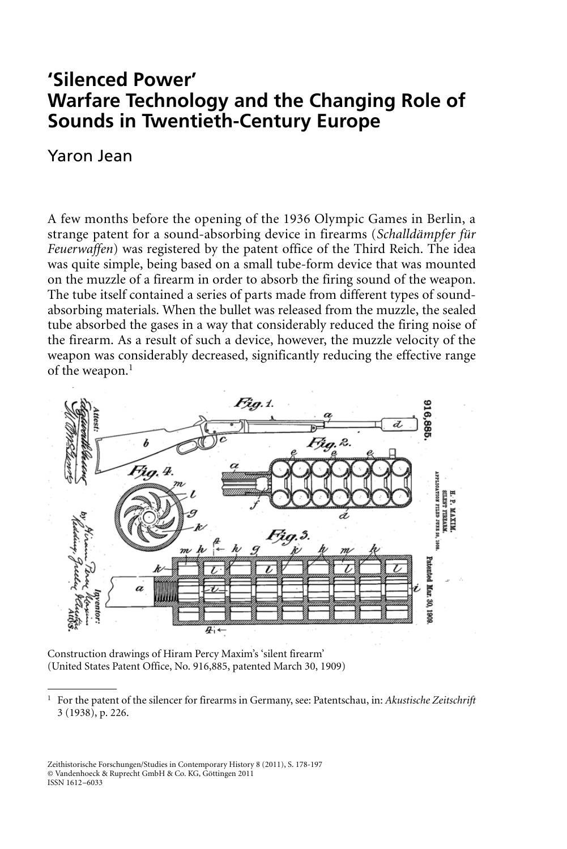# **'Silenced Power' Warfare Technology and the Changing Role of Sounds in Twentieth-Century Europe**

# Yaron Jean

A few months before the opening of the 1936 Olympic Games in Berlin, a strange patent for a sound-absorbing device in firearms (*Schalldämpfer für Feuerwaffen*) was registered by the patent office of the Third Reich. The idea was quite simple, being based on a small tube-form device that was mounted on the muzzle of a firearm in order to absorb the firing sound of the weapon. The tube itself contained a series of parts made from different types of soundabsorbing materials. When the bullet was released from the muzzle, the sealed tube absorbed the gases in a way that considerably reduced the firing noise of the firearm. As a result of such a device, however, the muzzle velocity of the weapon was considerably decreased, significantly reducing the effective range of the weapon.<sup>1</sup>



Construction drawings of Hiram Percy Maxim's 'silent firearm' (United States Patent Office, No. 916,885, patented March 30, 1909)

Zeithistorische Forschungen/Studies in Contemporary History 8 (2011), S. 178-197 © Vandenhoeck & Ruprecht GmbH & Co. KG, Göttingen 2011 ISSN 1612–6033

<sup>1</sup> For the patent of the silencer for firearms in Germany, see: Patentschau, in: *Akustische Zeitschrift* 3 (1938), p. 226.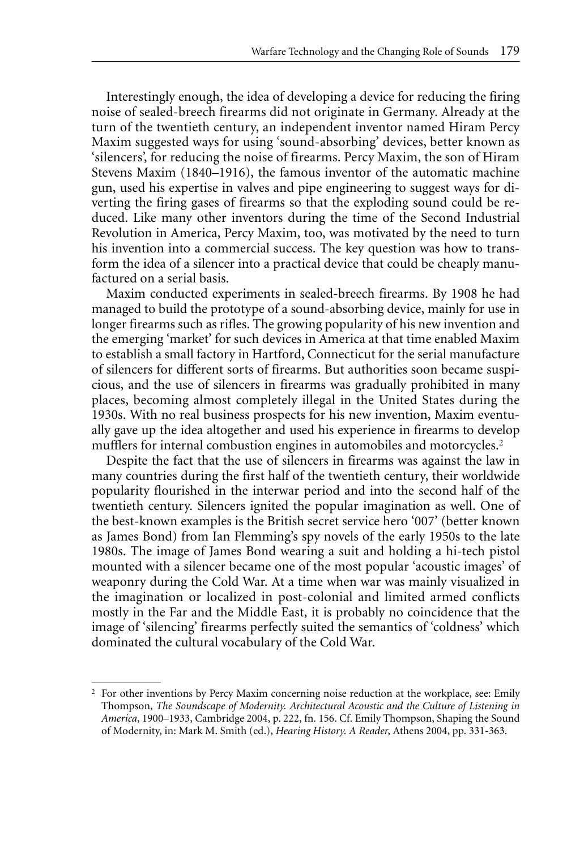Interestingly enough, the idea of developing a device for reducing the firing noise of sealed-breech firearms did not originate in Germany. Already at the turn of the twentieth century, an independent inventor named Hiram Percy Maxim suggested ways for using 'sound-absorbing' devices, better known as 'silencers', for reducing the noise of firearms. Percy Maxim, the son of Hiram Stevens Maxim (1840–1916), the famous inventor of the automatic machine gun, used his expertise in valves and pipe engineering to suggest ways for diverting the firing gases of firearms so that the exploding sound could be reduced. Like many other inventors during the time of the Second Industrial Revolution in America, Percy Maxim, too, was motivated by the need to turn his invention into a commercial success. The key question was how to transform the idea of a silencer into a practical device that could be cheaply manufactured on a serial basis.

Maxim conducted experiments in sealed-breech firearms. By 1908 he had managed to build the prototype of a sound-absorbing device, mainly for use in longer firearms such as rifles. The growing popularity of his new invention and the emerging 'market' for such devices in America at that time enabled Maxim to establish a small factory in Hartford, Connecticut for the serial manufacture of silencers for different sorts of firearms. But authorities soon became suspicious, and the use of silencers in firearms was gradually prohibited in many places, becoming almost completely illegal in the United States during the 1930s. With no real business prospects for his new invention, Maxim eventually gave up the idea altogether and used his experience in firearms to develop mufflers for internal combustion engines in automobiles and motorcycles.<sup>2</sup>

Despite the fact that the use of silencers in firearms was against the law in many countries during the first half of the twentieth century, their worldwide popularity flourished in the interwar period and into the second half of the twentieth century. Silencers ignited the popular imagination as well. One of the best-known examples is the British secret service hero '007' (better known as James Bond) from Ian Flemming's spy novels of the early 1950s to the late 1980s. The image of James Bond wearing a suit and holding a hi-tech pistol mounted with a silencer became one of the most popular 'acoustic images' of weaponry during the Cold War. At a time when war was mainly visualized in the imagination or localized in post-colonial and limited armed conflicts mostly in the Far and the Middle East, it is probably no coincidence that the image of 'silencing' firearms perfectly suited the semantics of 'coldness' which dominated the cultural vocabulary of the Cold War.

<sup>2</sup> For other inventions by Percy Maxim concerning noise reduction at the workplace, see: Emily Thompson, *The Soundscape of Modernity. Architectural Acoustic and the Culture of Listening in America*, 1900–1933, Cambridge 2004, p. 222, fn. 156. Cf. Emily Thompson, Shaping the Sound of Modernity, in: Mark M. Smith (ed.), *Hearing History. A Reader*, Athens 2004, pp. 331-363.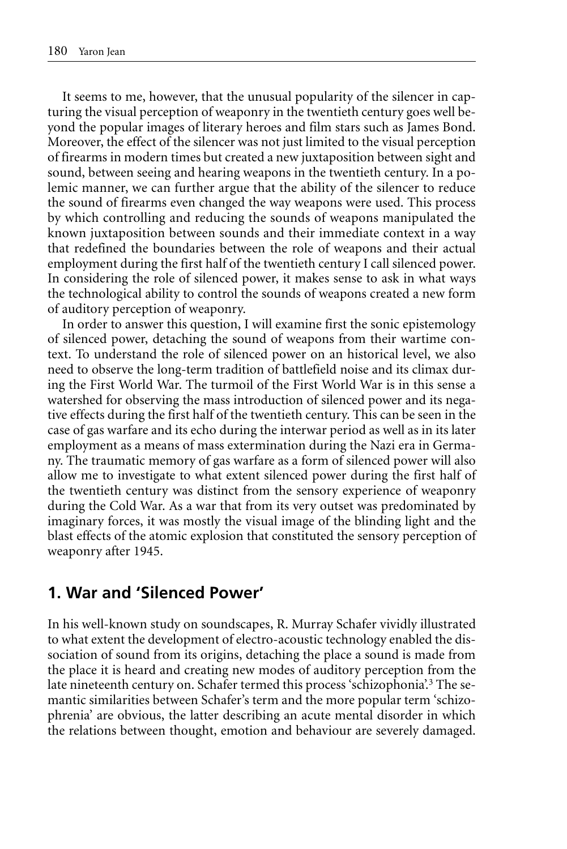It seems to me, however, that the unusual popularity of the silencer in capturing the visual perception of weaponry in the twentieth century goes well beyond the popular images of literary heroes and film stars such as James Bond. Moreover, the effect of the silencer was not just limited to the visual perception of firearms in modern times but created a new juxtaposition between sight and sound, between seeing and hearing weapons in the twentieth century. In a polemic manner, we can further argue that the ability of the silencer to reduce the sound of firearms even changed the way weapons were used. This process by which controlling and reducing the sounds of weapons manipulated the known juxtaposition between sounds and their immediate context in a way that redefined the boundaries between the role of weapons and their actual employment during the first half of the twentieth century I call silenced power. In considering the role of silenced power, it makes sense to ask in what ways the technological ability to control the sounds of weapons created a new form of auditory perception of weaponry.

In order to answer this question, I will examine first the sonic epistemology of silenced power, detaching the sound of weapons from their wartime context. To understand the role of silenced power on an historical level, we also need to observe the long-term tradition of battlefield noise and its climax during the First World War. The turmoil of the First World War is in this sense a watershed for observing the mass introduction of silenced power and its negative effects during the first half of the twentieth century. This can be seen in the case of gas warfare and its echo during the interwar period as well as in its later employment as a means of mass extermination during the Nazi era in Germany. The traumatic memory of gas warfare as a form of silenced power will also allow me to investigate to what extent silenced power during the first half of the twentieth century was distinct from the sensory experience of weaponry during the Cold War. As a war that from its very outset was predominated by imaginary forces, it was mostly the visual image of the blinding light and the blast effects of the atomic explosion that constituted the sensory perception of weaponry after 1945.

## **1. War and 'Silenced Power'**

In his well-known study on soundscapes, R. Murray Schafer vividly illustrated to what extent the development of electro-acoustic technology enabled the dissociation of sound from its origins, detaching the place a sound is made from the place it is heard and creating new modes of auditory perception from the late nineteenth century on. Schafer termed this process 'schizophonia'.<sup>3</sup> The semantic similarities between Schafer's term and the more popular term 'schizophrenia' are obvious, the latter describing an acute mental disorder in which the relations between thought, emotion and behaviour are severely damaged.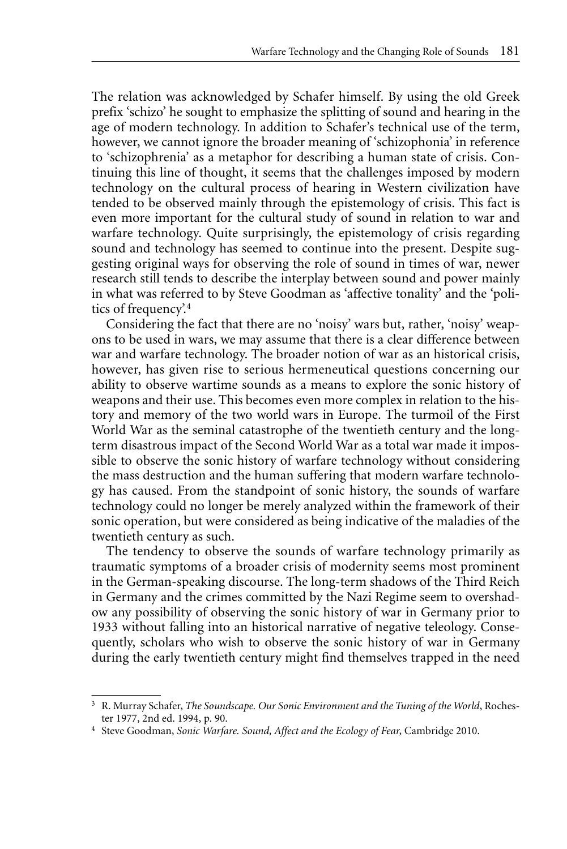The relation was acknowledged by Schafer himself. By using the old Greek prefix 'schizo' he sought to emphasize the splitting of sound and hearing in the age of modern technology. In addition to Schafer's technical use of the term, however, we cannot ignore the broader meaning of 'schizophonia' in reference to 'schizophrenia' as a metaphor for describing a human state of crisis. Continuing this line of thought, it seems that the challenges imposed by modern technology on the cultural process of hearing in Western civilization have tended to be observed mainly through the epistemology of crisis. This fact is even more important for the cultural study of sound in relation to war and warfare technology. Quite surprisingly, the epistemology of crisis regarding sound and technology has seemed to continue into the present. Despite suggesting original ways for observing the role of sound in times of war, newer research still tends to describe the interplay between sound and power mainly in what was referred to by Steve Goodman as 'affective tonality' and the 'politics of frequency'.4

Considering the fact that there are no 'noisy' wars but, rather, 'noisy' weapons to be used in wars, we may assume that there is a clear difference between war and warfare technology. The broader notion of war as an historical crisis, however, has given rise to serious hermeneutical questions concerning our ability to observe wartime sounds as a means to explore the sonic history of weapons and their use. This becomes even more complex in relation to the history and memory of the two world wars in Europe. The turmoil of the First World War as the seminal catastrophe of the twentieth century and the longterm disastrous impact of the Second World War as a total war made it impossible to observe the sonic history of warfare technology without considering the mass destruction and the human suffering that modern warfare technology has caused. From the standpoint of sonic history, the sounds of warfare technology could no longer be merely analyzed within the framework of their sonic operation, but were considered as being indicative of the maladies of the twentieth century as such.

The tendency to observe the sounds of warfare technology primarily as traumatic symptoms of a broader crisis of modernity seems most prominent in the German-speaking discourse. The long-term shadows of the Third Reich in Germany and the crimes committed by the Nazi Regime seem to overshadow any possibility of observing the sonic history of war in Germany prior to 1933 without falling into an historical narrative of negative teleology. Consequently, scholars who wish to observe the sonic history of war in Germany during the early twentieth century might find themselves trapped in the need

<sup>3</sup> R. Murray Schafer, *The Soundscape. Our Sonic Environment and the Tuning of the World*, Rochester 1977, 2nd ed. 1994, p. 90.

<sup>4</sup> Steve Goodman, *Sonic Warfare. Sound, Affect and the Ecology of Fear*, Cambridge 2010.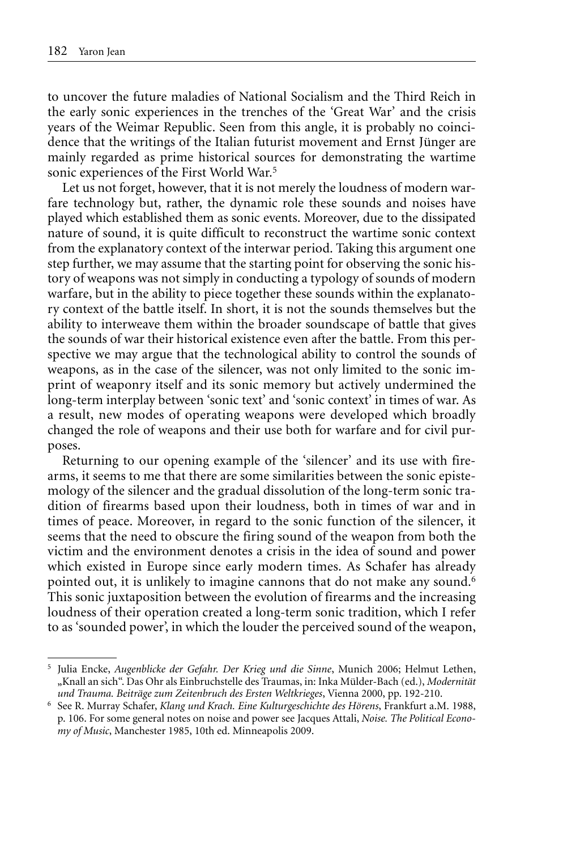to uncover the future maladies of National Socialism and the Third Reich in the early sonic experiences in the trenches of the 'Great War' and the crisis years of the Weimar Republic. Seen from this angle, it is probably no coincidence that the writings of the Italian futurist movement and Ernst Jünger are mainly regarded as prime historical sources for demonstrating the wartime sonic experiences of the First World War.5

Let us not forget, however, that it is not merely the loudness of modern warfare technology but, rather, the dynamic role these sounds and noises have played which established them as sonic events. Moreover, due to the dissipated nature of sound, it is quite difficult to reconstruct the wartime sonic context from the explanatory context of the interwar period. Taking this argument one step further, we may assume that the starting point for observing the sonic history of weapons was not simply in conducting a typology of sounds of modern warfare, but in the ability to piece together these sounds within the explanatory context of the battle itself. In short, it is not the sounds themselves but the ability to interweave them within the broader soundscape of battle that gives the sounds of war their historical existence even after the battle. From this perspective we may argue that the technological ability to control the sounds of weapons, as in the case of the silencer, was not only limited to the sonic imprint of weaponry itself and its sonic memory but actively undermined the long-term interplay between 'sonic text' and 'sonic context' in times of war. As a result, new modes of operating weapons were developed which broadly changed the role of weapons and their use both for warfare and for civil purposes.

Returning to our opening example of the 'silencer' and its use with firearms, it seems to me that there are some similarities between the sonic epistemology of the silencer and the gradual dissolution of the long-term sonic tradition of firearms based upon their loudness, both in times of war and in times of peace. Moreover, in regard to the sonic function of the silencer, it seems that the need to obscure the firing sound of the weapon from both the victim and the environment denotes a crisis in the idea of sound and power which existed in Europe since early modern times. As Schafer has already pointed out, it is unlikely to imagine cannons that do not make any sound.<sup>6</sup> This sonic juxtaposition between the evolution of firearms and the increasing loudness of their operation created a long-term sonic tradition, which I refer to as 'sounded power', in which the louder the perceived sound of the weapon,

<sup>5</sup> Julia Encke, *Augenblicke der Gefahr. Der Krieg und die Sinne*, Munich 2006; Helmut Lethen, "Knall an sich". Das Ohr als Einbruchstelle des Traumas, in: Inka Mülder-Bach (ed.), *Modernität und Trauma. Beiträge zum Zeitenbruch des Ersten Weltkrieges*, Vienna 2000, pp. 192-210.

<sup>6</sup> See R. Murray Schafer, *Klang und Krach. Eine Kulturgeschichte des Hörens*, Frankfurt a.M. 1988, p. 106. For some general notes on noise and power see Jacques Attali, *Noise. The Political Economy of Music*, Manchester 1985, 10th ed. Minneapolis 2009.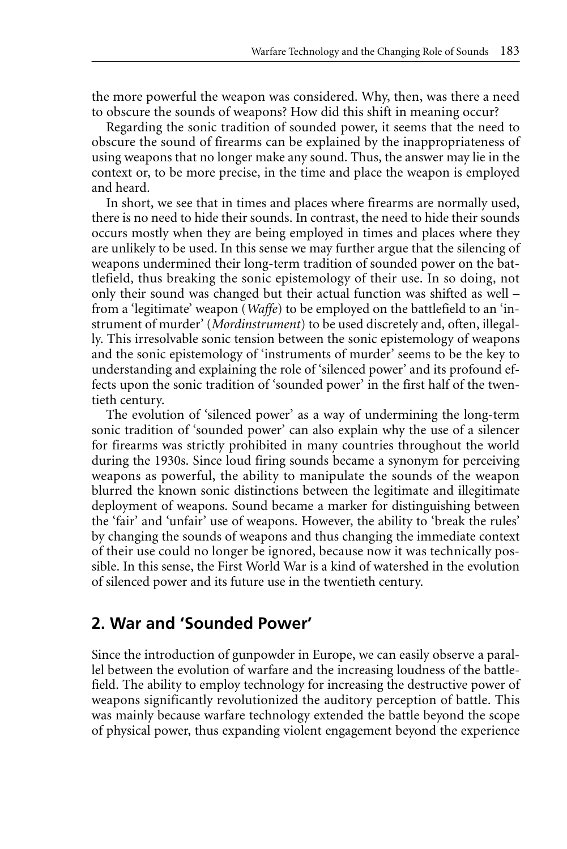the more powerful the weapon was considered. Why, then, was there a need to obscure the sounds of weapons? How did this shift in meaning occur?

Regarding the sonic tradition of sounded power, it seems that the need to obscure the sound of firearms can be explained by the inappropriateness of using weapons that no longer make any sound. Thus, the answer may lie in the context or, to be more precise, in the time and place the weapon is employed and heard.

In short, we see that in times and places where firearms are normally used, there is no need to hide their sounds. In contrast, the need to hide their sounds occurs mostly when they are being employed in times and places where they are unlikely to be used. In this sense we may further argue that the silencing of weapons undermined their long-term tradition of sounded power on the battlefield, thus breaking the sonic epistemology of their use. In so doing, not only their sound was changed but their actual function was shifted as well – from a 'legitimate' weapon (*Waffe*) to be employed on the battlefield to an 'instrument of murder' (*Mordinstrument*) to be used discretely and, often, illegally. This irresolvable sonic tension between the sonic epistemology of weapons and the sonic epistemology of 'instruments of murder' seems to be the key to understanding and explaining the role of 'silenced power' and its profound effects upon the sonic tradition of 'sounded power' in the first half of the twentieth century.

The evolution of 'silenced power' as a way of undermining the long-term sonic tradition of 'sounded power' can also explain why the use of a silencer for firearms was strictly prohibited in many countries throughout the world during the 1930s. Since loud firing sounds became a synonym for perceiving weapons as powerful, the ability to manipulate the sounds of the weapon blurred the known sonic distinctions between the legitimate and illegitimate deployment of weapons. Sound became a marker for distinguishing between the 'fair' and 'unfair' use of weapons. However, the ability to 'break the rules' by changing the sounds of weapons and thus changing the immediate context of their use could no longer be ignored, because now it was technically possible. In this sense, the First World War is a kind of watershed in the evolution of silenced power and its future use in the twentieth century.

## **2. War and 'Sounded Power'**

Since the introduction of gunpowder in Europe, we can easily observe a parallel between the evolution of warfare and the increasing loudness of the battlefield. The ability to employ technology for increasing the destructive power of weapons significantly revolutionized the auditory perception of battle. This was mainly because warfare technology extended the battle beyond the scope of physical power, thus expanding violent engagement beyond the experience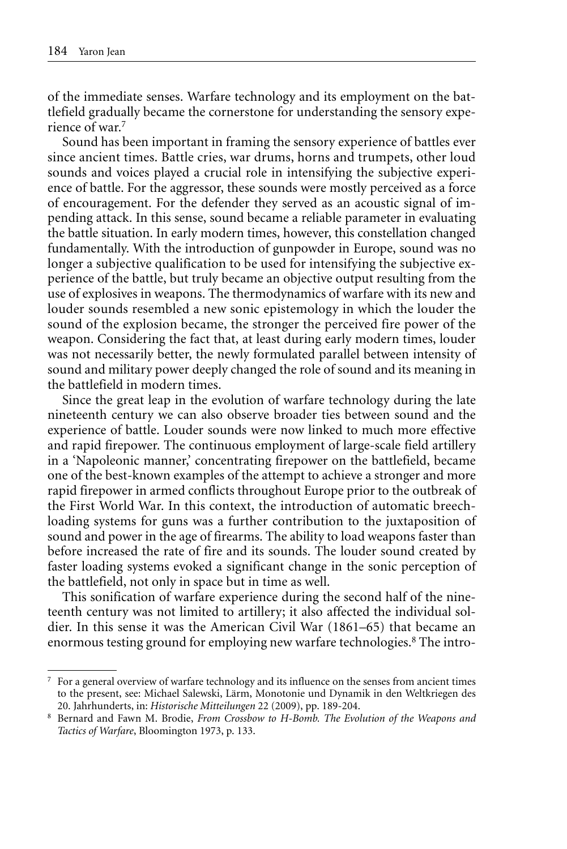of the immediate senses. Warfare technology and its employment on the battlefield gradually became the cornerstone for understanding the sensory experience of war.7

Sound has been important in framing the sensory experience of battles ever since ancient times. Battle cries, war drums, horns and trumpets, other loud sounds and voices played a crucial role in intensifying the subjective experience of battle. For the aggressor, these sounds were mostly perceived as a force of encouragement. For the defender they served as an acoustic signal of impending attack. In this sense, sound became a reliable parameter in evaluating the battle situation. In early modern times, however, this constellation changed fundamentally. With the introduction of gunpowder in Europe, sound was no longer a subjective qualification to be used for intensifying the subjective experience of the battle, but truly became an objective output resulting from the use of explosives in weapons. The thermodynamics of warfare with its new and louder sounds resembled a new sonic epistemology in which the louder the sound of the explosion became, the stronger the perceived fire power of the weapon. Considering the fact that, at least during early modern times, louder was not necessarily better, the newly formulated parallel between intensity of sound and military power deeply changed the role of sound and its meaning in the battlefield in modern times.

Since the great leap in the evolution of warfare technology during the late nineteenth century we can also observe broader ties between sound and the experience of battle. Louder sounds were now linked to much more effective and rapid firepower. The continuous employment of large-scale field artillery in a 'Napoleonic manner,' concentrating firepower on the battlefield, became one of the best-known examples of the attempt to achieve a stronger and more rapid firepower in armed conflicts throughout Europe prior to the outbreak of the First World War. In this context, the introduction of automatic breechloading systems for guns was a further contribution to the juxtaposition of sound and power in the age of firearms. The ability to load weapons faster than before increased the rate of fire and its sounds. The louder sound created by faster loading systems evoked a significant change in the sonic perception of the battlefield, not only in space but in time as well.

This sonification of warfare experience during the second half of the nineteenth century was not limited to artillery; it also affected the individual soldier. In this sense it was the American Civil War (1861–65) that became an enormous testing ground for employing new warfare technologies.<sup>8</sup> The intro-

 $\frac{7}{1}$  For a general overview of warfare technology and its influence on the senses from ancient times to the present, see: Michael Salewski, Lärm, Monotonie und Dynamik in den Weltkriegen des 20. Jahrhunderts, in: *Historische Mitteilungen* 22 (2009), pp. 189-204.

<sup>8</sup> Bernard and Fawn M. Brodie, *From Crossbow to H-Bomb. The Evolution of the Weapons and Tactics of Warfare*, Bloomington 1973, p. 133.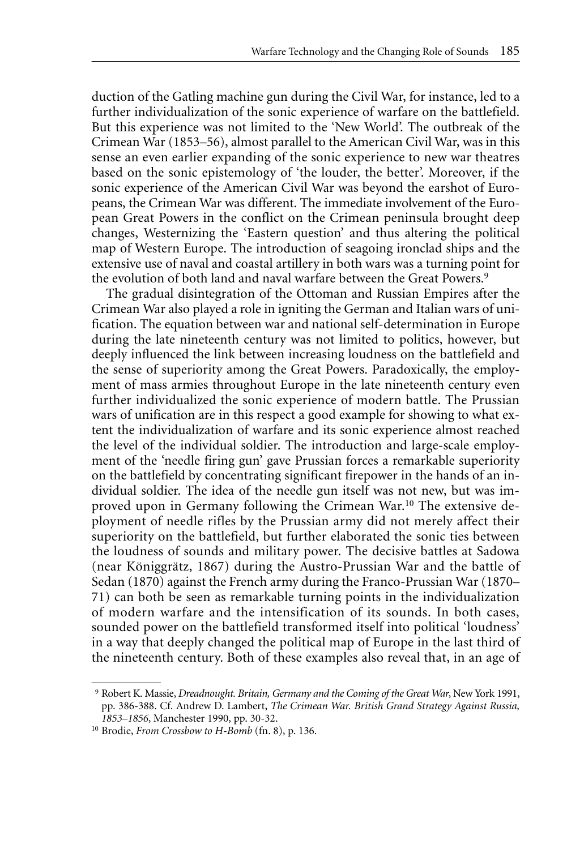duction of the Gatling machine gun during the Civil War, for instance, led to a further individualization of the sonic experience of warfare on the battlefield. But this experience was not limited to the 'New World'. The outbreak of the Crimean War (1853–56), almost parallel to the American Civil War, was in this sense an even earlier expanding of the sonic experience to new war theatres based on the sonic epistemology of 'the louder, the better'. Moreover, if the sonic experience of the American Civil War was beyond the earshot of Europeans, the Crimean War was different. The immediate involvement of the European Great Powers in the conflict on the Crimean peninsula brought deep changes, Westernizing the 'Eastern question' and thus altering the political map of Western Europe. The introduction of seagoing ironclad ships and the extensive use of naval and coastal artillery in both wars was a turning point for the evolution of both land and naval warfare between the Great Powers.<sup>9</sup>

The gradual disintegration of the Ottoman and Russian Empires after the Crimean War also played a role in igniting the German and Italian wars of unification. The equation between war and national self-determination in Europe during the late nineteenth century was not limited to politics, however, but deeply influenced the link between increasing loudness on the battlefield and the sense of superiority among the Great Powers. Paradoxically, the employment of mass armies throughout Europe in the late nineteenth century even further individualized the sonic experience of modern battle. The Prussian wars of unification are in this respect a good example for showing to what extent the individualization of warfare and its sonic experience almost reached the level of the individual soldier. The introduction and large-scale employment of the 'needle firing gun' gave Prussian forces a remarkable superiority on the battlefield by concentrating significant firepower in the hands of an individual soldier. The idea of the needle gun itself was not new, but was improved upon in Germany following the Crimean War.<sup>10</sup> The extensive deployment of needle rifles by the Prussian army did not merely affect their superiority on the battlefield, but further elaborated the sonic ties between the loudness of sounds and military power. The decisive battles at Sadowa (near Königgrätz, 1867) during the Austro-Prussian War and the battle of Sedan (1870) against the French army during the Franco-Prussian War (1870– 71) can both be seen as remarkable turning points in the individualization of modern warfare and the intensification of its sounds. In both cases, sounded power on the battlefield transformed itself into political 'loudness' in a way that deeply changed the political map of Europe in the last third of the nineteenth century. Both of these examples also reveal that, in an age of

<sup>9</sup> Robert K. Massie, *Dreadnought. Britain, Germany and the Coming of the Great War*, New York 1991, pp. 386-388. Cf. Andrew D. Lambert, *The Crimean War. British Grand Strategy Against Russia, 1853–1856*, Manchester 1990, pp. 30-32.

<sup>10</sup> Brodie, *From Crossbow to H-Bomb* (fn. 8), p. 136.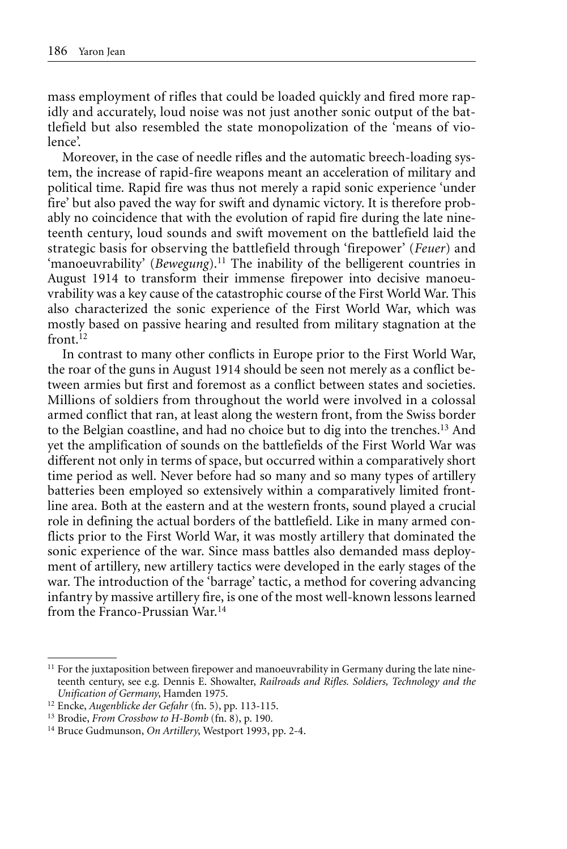mass employment of rifles that could be loaded quickly and fired more rapidly and accurately, loud noise was not just another sonic output of the battlefield but also resembled the state monopolization of the 'means of violence'.

Moreover, in the case of needle rifles and the automatic breech-loading system, the increase of rapid-fire weapons meant an acceleration of military and political time. Rapid fire was thus not merely a rapid sonic experience 'under fire' but also paved the way for swift and dynamic victory. It is therefore probably no coincidence that with the evolution of rapid fire during the late nineteenth century, loud sounds and swift movement on the battlefield laid the strategic basis for observing the battlefield through 'firepower' (*Feuer*) and 'manoeuvrability' (*Bewegung*).11 The inability of the belligerent countries in August 1914 to transform their immense firepower into decisive manoeuvrability was a key cause of the catastrophic course of the First World War. This also characterized the sonic experience of the First World War, which was mostly based on passive hearing and resulted from military stagnation at the front $12$ 

In contrast to many other conflicts in Europe prior to the First World War, the roar of the guns in August 1914 should be seen not merely as a conflict between armies but first and foremost as a conflict between states and societies. Millions of soldiers from throughout the world were involved in a colossal armed conflict that ran, at least along the western front, from the Swiss border to the Belgian coastline, and had no choice but to dig into the trenches.13 And yet the amplification of sounds on the battlefields of the First World War was different not only in terms of space, but occurred within a comparatively short time period as well. Never before had so many and so many types of artillery batteries been employed so extensively within a comparatively limited frontline area. Both at the eastern and at the western fronts, sound played a crucial role in defining the actual borders of the battlefield. Like in many armed conflicts prior to the First World War, it was mostly artillery that dominated the sonic experience of the war. Since mass battles also demanded mass deployment of artillery, new artillery tactics were developed in the early stages of the war. The introduction of the 'barrage' tactic, a method for covering advancing infantry by massive artillery fire, is one of the most well-known lessons learned from the Franco-Prussian War<sup>14</sup>

 $11$  For the juxtaposition between firepower and manoeuvrability in Germany during the late nineteenth century, see e.g. Dennis E. Showalter, *Railroads and Rifles. Soldiers, Technology and the*

<sup>&</sup>lt;sup>12</sup> Encke, *Augenblicke der Gefahr* (fn. 5), pp. 113-115.

<sup>13</sup> Brodie, *From Crossbow to H-Bomb* (fn. 8), p. 190.

<sup>14</sup> Bruce Gudmunson, *On Artillery*, Westport 1993, pp. 2-4.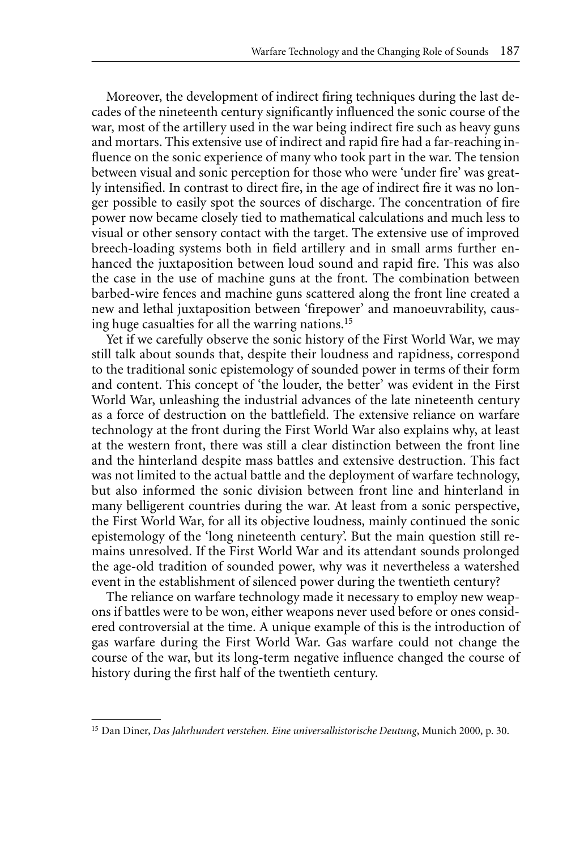Moreover, the development of indirect firing techniques during the last decades of the nineteenth century significantly influenced the sonic course of the war, most of the artillery used in the war being indirect fire such as heavy guns and mortars. This extensive use of indirect and rapid fire had a far-reaching influence on the sonic experience of many who took part in the war. The tension between visual and sonic perception for those who were 'under fire' was greatly intensified. In contrast to direct fire, in the age of indirect fire it was no longer possible to easily spot the sources of discharge. The concentration of fire power now became closely tied to mathematical calculations and much less to visual or other sensory contact with the target. The extensive use of improved breech-loading systems both in field artillery and in small arms further enhanced the juxtaposition between loud sound and rapid fire. This was also the case in the use of machine guns at the front. The combination between barbed-wire fences and machine guns scattered along the front line created a new and lethal juxtaposition between 'firepower' and manoeuvrability, causing huge casualties for all the warring nations.15

Yet if we carefully observe the sonic history of the First World War, we may still talk about sounds that, despite their loudness and rapidness, correspond to the traditional sonic epistemology of sounded power in terms of their form and content. This concept of 'the louder, the better' was evident in the First World War, unleashing the industrial advances of the late nineteenth century as a force of destruction on the battlefield. The extensive reliance on warfare technology at the front during the First World War also explains why, at least at the western front, there was still a clear distinction between the front line and the hinterland despite mass battles and extensive destruction. This fact was not limited to the actual battle and the deployment of warfare technology, but also informed the sonic division between front line and hinterland in many belligerent countries during the war. At least from a sonic perspective, the First World War, for all its objective loudness, mainly continued the sonic epistemology of the 'long nineteenth century'. But the main question still remains unresolved. If the First World War and its attendant sounds prolonged the age-old tradition of sounded power, why was it nevertheless a watershed event in the establishment of silenced power during the twentieth century?

The reliance on warfare technology made it necessary to employ new weapons if battles were to be won, either weapons never used before or ones considered controversial at the time. A unique example of this is the introduction of gas warfare during the First World War. Gas warfare could not change the course of the war, but its long-term negative influence changed the course of history during the first half of the twentieth century.

<sup>15</sup> Dan Diner, *Das Jahrhundert verstehen. Eine universalhistorische Deutung*, Munich 2000, p. 30.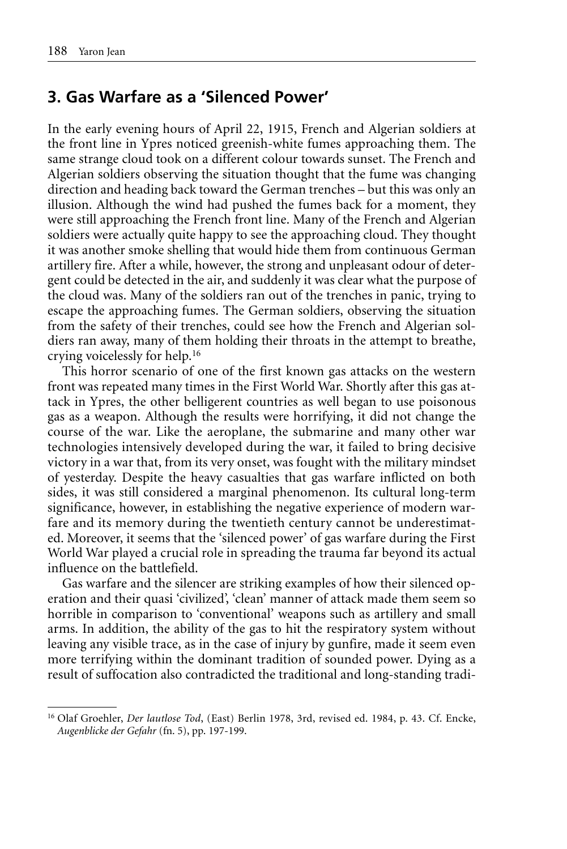#### **3. Gas Warfare as a 'Silenced Power'**

In the early evening hours of April 22, 1915, French and Algerian soldiers at the front line in Ypres noticed greenish-white fumes approaching them. The same strange cloud took on a different colour towards sunset. The French and Algerian soldiers observing the situation thought that the fume was changing direction and heading back toward the German trenches – but this was only an illusion. Although the wind had pushed the fumes back for a moment, they were still approaching the French front line. Many of the French and Algerian soldiers were actually quite happy to see the approaching cloud. They thought it was another smoke shelling that would hide them from continuous German artillery fire. After a while, however, the strong and unpleasant odour of detergent could be detected in the air, and suddenly it was clear what the purpose of the cloud was. Many of the soldiers ran out of the trenches in panic, trying to escape the approaching fumes. The German soldiers, observing the situation from the safety of their trenches, could see how the French and Algerian soldiers ran away, many of them holding their throats in the attempt to breathe, crying voicelessly for help.16

This horror scenario of one of the first known gas attacks on the western front was repeated many times in the First World War. Shortly after this gas attack in Ypres, the other belligerent countries as well began to use poisonous gas as a weapon. Although the results were horrifying, it did not change the course of the war. Like the aeroplane, the submarine and many other war technologies intensively developed during the war, it failed to bring decisive victory in a war that, from its very onset, was fought with the military mindset of yesterday. Despite the heavy casualties that gas warfare inflicted on both sides, it was still considered a marginal phenomenon. Its cultural long-term significance, however, in establishing the negative experience of modern warfare and its memory during the twentieth century cannot be underestimated. Moreover, it seems that the 'silenced power' of gas warfare during the First World War played a crucial role in spreading the trauma far beyond its actual influence on the battlefield.

Gas warfare and the silencer are striking examples of how their silenced operation and their quasi 'civilized', 'clean' manner of attack made them seem so horrible in comparison to 'conventional' weapons such as artillery and small arms. In addition, the ability of the gas to hit the respiratory system without leaving any visible trace, as in the case of injury by gunfire, made it seem even more terrifying within the dominant tradition of sounded power. Dying as a result of suffocation also contradicted the traditional and long-standing tradi-

<sup>&</sup>lt;sup>16</sup> Olaf Groehler, *Der lautlose Tod*, (East) Berlin 1978, 3rd, revised ed. 1984, p. 43. Cf. Encke, *Augenblicke der Gefahr* (fn. 5), pp. 197-199.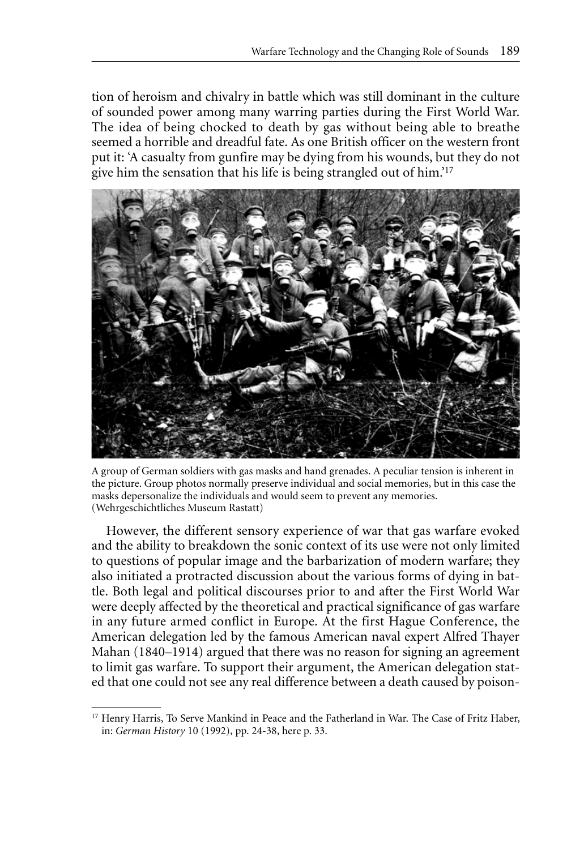tion of heroism and chivalry in battle which was still dominant in the culture of sounded power among many warring parties during the First World War. The idea of being chocked to death by gas without being able to breathe seemed a horrible and dreadful fate. As one British officer on the western front put it: 'A casualty from gunfire may be dying from his wounds, but they do not give him the sensation that his life is being strangled out of him.'17



A group of German soldiers with gas masks and hand grenades. A peculiar tension is inherent in the picture. Group photos normally preserve individual and social memories, but in this case the masks depersonalize the individuals and would seem to prevent any memories. (Wehrgeschichtliches Museum Rastatt)

However, the different sensory experience of war that gas warfare evoked and the ability to breakdown the sonic context of its use were not only limited to questions of popular image and the barbarization of modern warfare; they also initiated a protracted discussion about the various forms of dying in battle. Both legal and political discourses prior to and after the First World War were deeply affected by the theoretical and practical significance of gas warfare in any future armed conflict in Europe. At the first Hague Conference, the American delegation led by the famous American naval expert Alfred Thayer Mahan (1840–1914) argued that there was no reason for signing an agreement to limit gas warfare. To support their argument, the American delegation stated that one could not see any real difference between a death caused by poison-

<sup>&</sup>lt;sup>17</sup> Henry Harris, To Serve Mankind in Peace and the Fatherland in War. The Case of Fritz Haber, in: *German History* 10 (1992), pp. 24-38, here p. 33.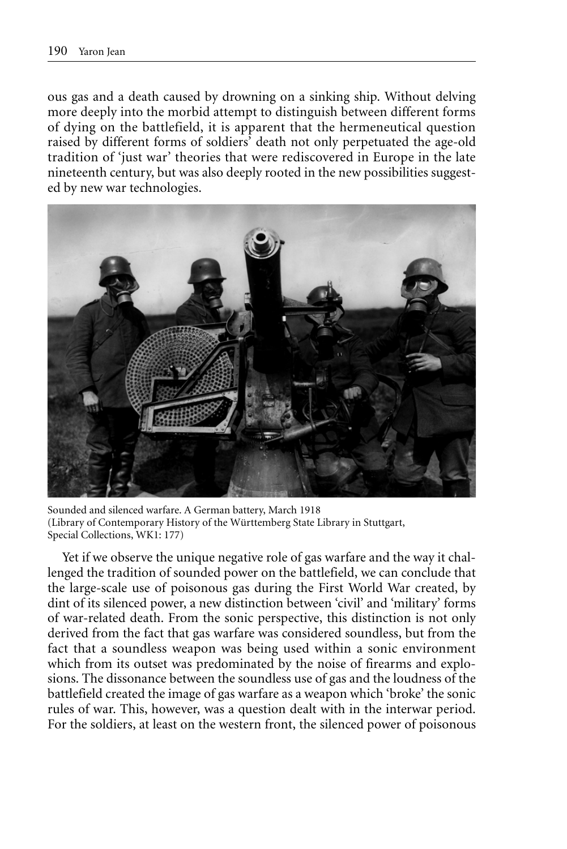ous gas and a death caused by drowning on a sinking ship. Without delving more deeply into the morbid attempt to distinguish between different forms of dying on the battlefield, it is apparent that the hermeneutical question raised by different forms of soldiers' death not only perpetuated the age-old tradition of 'just war' theories that were rediscovered in Europe in the late nineteenth century, but was also deeply rooted in the new possibilities suggested by new war technologies.



Sounded and silenced warfare. A German battery, March 1918 (Library of Contemporary History of the Württemberg State Library in Stuttgart, Special Collections, WK1: 177)

Yet if we observe the unique negative role of gas warfare and the way it challenged the tradition of sounded power on the battlefield, we can conclude that the large-scale use of poisonous gas during the First World War created, by dint of its silenced power, a new distinction between 'civil' and 'military' forms of war-related death. From the sonic perspective, this distinction is not only derived from the fact that gas warfare was considered soundless, but from the fact that a soundless weapon was being used within a sonic environment which from its outset was predominated by the noise of firearms and explosions. The dissonance between the soundless use of gas and the loudness of the battlefield created the image of gas warfare as a weapon which 'broke' the sonic rules of war. This, however, was a question dealt with in the interwar period. For the soldiers, at least on the western front, the silenced power of poisonous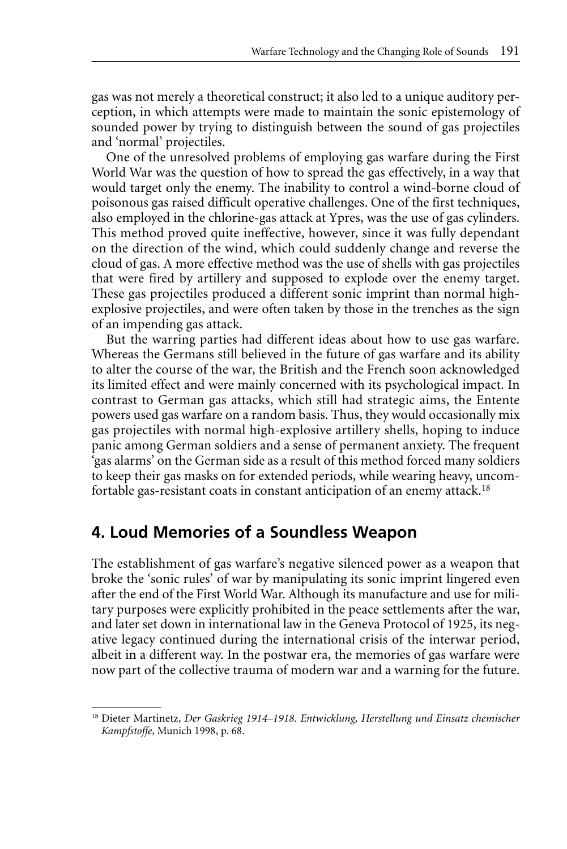gas was not merely a theoretical construct; it also led to a unique auditory perception, in which attempts were made to maintain the sonic epistemology of sounded power by trying to distinguish between the sound of gas projectiles and 'normal' projectiles.

One of the unresolved problems of employing gas warfare during the First World War was the question of how to spread the gas effectively, in a way that would target only the enemy. The inability to control a wind-borne cloud of poisonous gas raised difficult operative challenges. One of the first techniques, also employed in the chlorine-gas attack at Ypres, was the use of gas cylinders. This method proved quite ineffective, however, since it was fully dependant on the direction of the wind, which could suddenly change and reverse the cloud of gas. A more effective method was the use of shells with gas projectiles that were fired by artillery and supposed to explode over the enemy target. These gas projectiles produced a different sonic imprint than normal highexplosive projectiles, and were often taken by those in the trenches as the sign of an impending gas attack.

But the warring parties had different ideas about how to use gas warfare. Whereas the Germans still believed in the future of gas warfare and its ability to alter the course of the war, the British and the French soon acknowledged its limited effect and were mainly concerned with its psychological impact. In contrast to German gas attacks, which still had strategic aims, the Entente powers used gas warfare on a random basis. Thus, they would occasionally mix gas projectiles with normal high-explosive artillery shells, hoping to induce panic among German soldiers and a sense of permanent anxiety. The frequent 'gas alarms' on the German side as a result of this method forced many soldiers to keep their gas masks on for extended periods, while wearing heavy, uncomfortable gas-resistant coats in constant anticipation of an enemy attack.18

## **4. Loud Memories of a Soundless Weapon**

The establishment of gas warfare's negative silenced power as a weapon that broke the 'sonic rules' of war by manipulating its sonic imprint lingered even after the end of the First World War. Although its manufacture and use for military purposes were explicitly prohibited in the peace settlements after the war, and later set down in international law in the Geneva Protocol of 1925, its negative legacy continued during the international crisis of the interwar period, albeit in a different way. In the postwar era, the memories of gas warfare were now part of the collective trauma of modern war and a warning for the future.

<sup>18</sup> Dieter Martinetz, *Der Gaskrieg 1914–1918. Entwicklung, Herstellung und Einsatz chemischer Kampfstoffe*, Munich 1998, p. 68.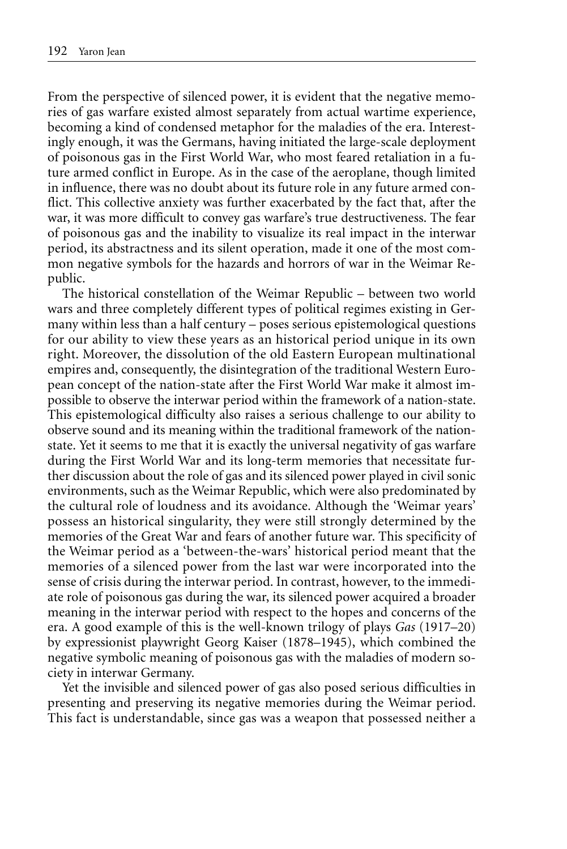From the perspective of silenced power, it is evident that the negative memories of gas warfare existed almost separately from actual wartime experience, becoming a kind of condensed metaphor for the maladies of the era. Interestingly enough, it was the Germans, having initiated the large-scale deployment of poisonous gas in the First World War, who most feared retaliation in a future armed conflict in Europe. As in the case of the aeroplane, though limited in influence, there was no doubt about its future role in any future armed conflict. This collective anxiety was further exacerbated by the fact that, after the war, it was more difficult to convey gas warfare's true destructiveness. The fear of poisonous gas and the inability to visualize its real impact in the interwar period, its abstractness and its silent operation, made it one of the most common negative symbols for the hazards and horrors of war in the Weimar Republic.

The historical constellation of the Weimar Republic – between two world wars and three completely different types of political regimes existing in Germany within less than a half century – poses serious epistemological questions for our ability to view these years as an historical period unique in its own right. Moreover, the dissolution of the old Eastern European multinational empires and, consequently, the disintegration of the traditional Western European concept of the nation-state after the First World War make it almost impossible to observe the interwar period within the framework of a nation-state. This epistemological difficulty also raises a serious challenge to our ability to observe sound and its meaning within the traditional framework of the nationstate. Yet it seems to me that it is exactly the universal negativity of gas warfare during the First World War and its long-term memories that necessitate further discussion about the role of gas and its silenced power played in civil sonic environments, such as the Weimar Republic, which were also predominated by the cultural role of loudness and its avoidance. Although the 'Weimar years' possess an historical singularity, they were still strongly determined by the memories of the Great War and fears of another future war. This specificity of the Weimar period as a 'between-the-wars' historical period meant that the memories of a silenced power from the last war were incorporated into the sense of crisis during the interwar period. In contrast, however, to the immediate role of poisonous gas during the war, its silenced power acquired a broader meaning in the interwar period with respect to the hopes and concerns of the era. A good example of this is the well-known trilogy of plays *Gas* (1917–20) by expressionist playwright Georg Kaiser (1878–1945), which combined the negative symbolic meaning of poisonous gas with the maladies of modern society in interwar Germany.

Yet the invisible and silenced power of gas also posed serious difficulties in presenting and preserving its negative memories during the Weimar period. This fact is understandable, since gas was a weapon that possessed neither a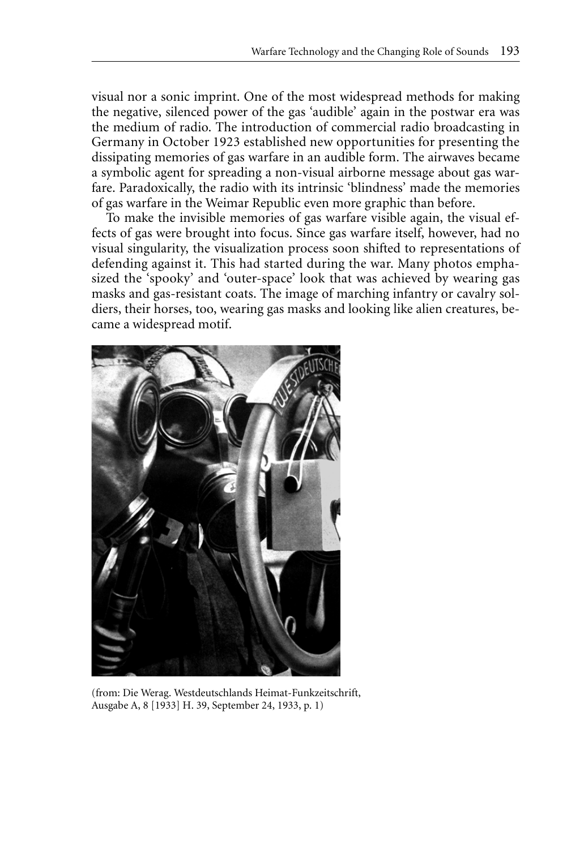visual nor a sonic imprint. One of the most widespread methods for making the negative, silenced power of the gas 'audible' again in the postwar era was the medium of radio. The introduction of commercial radio broadcasting in Germany in October 1923 established new opportunities for presenting the dissipating memories of gas warfare in an audible form. The airwaves became a symbolic agent for spreading a non-visual airborne message about gas warfare. Paradoxically, the radio with its intrinsic 'blindness' made the memories of gas warfare in the Weimar Republic even more graphic than before.

To make the invisible memories of gas warfare visible again, the visual effects of gas were brought into focus. Since gas warfare itself, however, had no visual singularity, the visualization process soon shifted to representations of defending against it. This had started during the war. Many photos emphasized the 'spooky' and 'outer-space' look that was achieved by wearing gas masks and gas-resistant coats. The image of marching infantry or cavalry soldiers, their horses, too, wearing gas masks and looking like alien creatures, became a widespread motif.



(from: Die Werag. Westdeutschlands Heimat-Funkzeitschrift, Ausgabe A, 8 [1933] H. 39, September 24, 1933, p. 1)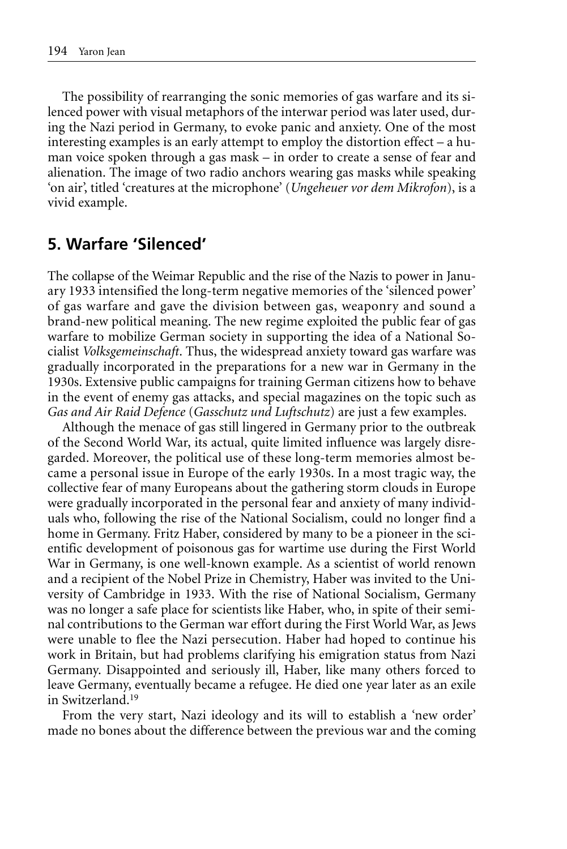The possibility of rearranging the sonic memories of gas warfare and its silenced power with visual metaphors of the interwar period was later used, during the Nazi period in Germany, to evoke panic and anxiety. One of the most interesting examples is an early attempt to employ the distortion effect – a human voice spoken through a gas mask – in order to create a sense of fear and alienation. The image of two radio anchors wearing gas masks while speaking 'on air', titled 'creatures at the microphone' (*Ungeheuer vor dem Mikrofon*), is a vivid example.

## **5. Warfare 'Silenced'**

The collapse of the Weimar Republic and the rise of the Nazis to power in January 1933 intensified the long-term negative memories of the 'silenced power' of gas warfare and gave the division between gas, weaponry and sound a brand-new political meaning. The new regime exploited the public fear of gas warfare to mobilize German society in supporting the idea of a National Socialist *Volksgemeinschaft*. Thus, the widespread anxiety toward gas warfare was gradually incorporated in the preparations for a new war in Germany in the 1930s. Extensive public campaigns for training German citizens how to behave in the event of enemy gas attacks, and special magazines on the topic such as *Gas and Air Raid Defence* (*Gasschutz und Luftschutz*) are just a few examples.

Although the menace of gas still lingered in Germany prior to the outbreak of the Second World War, its actual, quite limited influence was largely disregarded. Moreover, the political use of these long-term memories almost became a personal issue in Europe of the early 1930s. In a most tragic way, the collective fear of many Europeans about the gathering storm clouds in Europe were gradually incorporated in the personal fear and anxiety of many individuals who, following the rise of the National Socialism, could no longer find a home in Germany. Fritz Haber, considered by many to be a pioneer in the scientific development of poisonous gas for wartime use during the First World War in Germany, is one well-known example. As a scientist of world renown and a recipient of the Nobel Prize in Chemistry, Haber was invited to the University of Cambridge in 1933. With the rise of National Socialism, Germany was no longer a safe place for scientists like Haber, who, in spite of their seminal contributions to the German war effort during the First World War, as Jews were unable to flee the Nazi persecution. Haber had hoped to continue his work in Britain, but had problems clarifying his emigration status from Nazi Germany. Disappointed and seriously ill, Haber, like many others forced to leave Germany, eventually became a refugee. He died one year later as an exile in Switzerland.19

From the very start, Nazi ideology and its will to establish a 'new order' made no bones about the difference between the previous war and the coming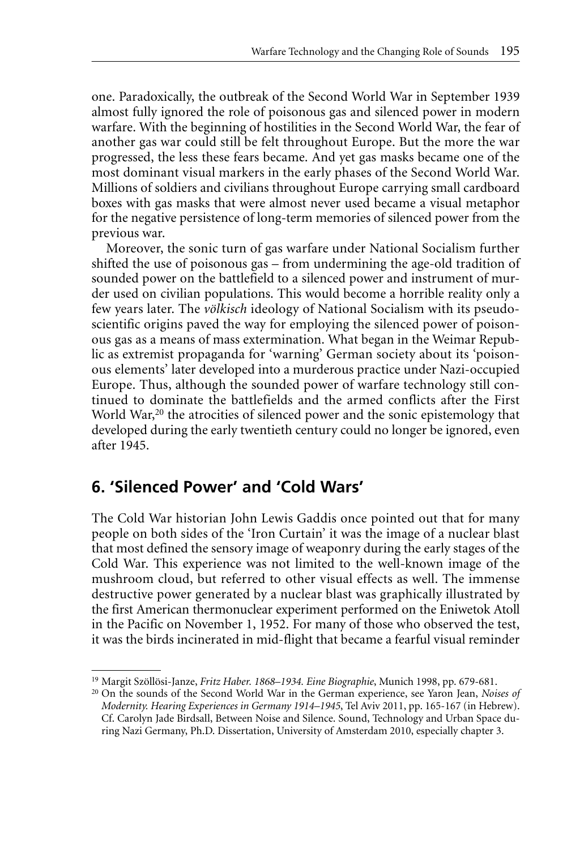one. Paradoxically, the outbreak of the Second World War in September 1939 almost fully ignored the role of poisonous gas and silenced power in modern warfare. With the beginning of hostilities in the Second World War, the fear of another gas war could still be felt throughout Europe. But the more the war progressed, the less these fears became. And yet gas masks became one of the most dominant visual markers in the early phases of the Second World War. Millions of soldiers and civilians throughout Europe carrying small cardboard boxes with gas masks that were almost never used became a visual metaphor for the negative persistence of long-term memories of silenced power from the previous war.

Moreover, the sonic turn of gas warfare under National Socialism further shifted the use of poisonous gas – from undermining the age-old tradition of sounded power on the battlefield to a silenced power and instrument of murder used on civilian populations. This would become a horrible reality only a few years later. The *völkisch* ideology of National Socialism with its pseudoscientific origins paved the way for employing the silenced power of poisonous gas as a means of mass extermination. What began in the Weimar Republic as extremist propaganda for 'warning' German society about its 'poisonous elements' later developed into a murderous practice under Nazi-occupied Europe. Thus, although the sounded power of warfare technology still continued to dominate the battlefields and the armed conflicts after the First World War,<sup>20</sup> the atrocities of silenced power and the sonic epistemology that developed during the early twentieth century could no longer be ignored, even after 1945.

## **6. 'Silenced Power' and 'Cold Wars'**

The Cold War historian John Lewis Gaddis once pointed out that for many people on both sides of the 'Iron Curtain' it was the image of a nuclear blast that most defined the sensory image of weaponry during the early stages of the Cold War. This experience was not limited to the well-known image of the mushroom cloud, but referred to other visual effects as well. The immense destructive power generated by a nuclear blast was graphically illustrated by the first American thermonuclear experiment performed on the Eniwetok Atoll in the Pacific on November 1, 1952. For many of those who observed the test, it was the birds incinerated in mid-flight that became a fearful visual reminder

<sup>19</sup> Margit Szöllösi-Janze, *Fritz Haber. 1868–1934. Eine Biographie*, Munich 1998, pp. 679-681.

<sup>20</sup> On the sounds of the Second World War in the German experience, see Yaron Jean, *Noises of Modernity. Hearing Experiences in Germany 1914–1945*, Tel Aviv 2011, pp. 165-167 (in Hebrew). Cf. Carolyn Jade Birdsall, Between Noise and Silence. Sound, Technology and Urban Space during Nazi Germany, Ph.D. Dissertation, University of Amsterdam 2010, especially chapter 3.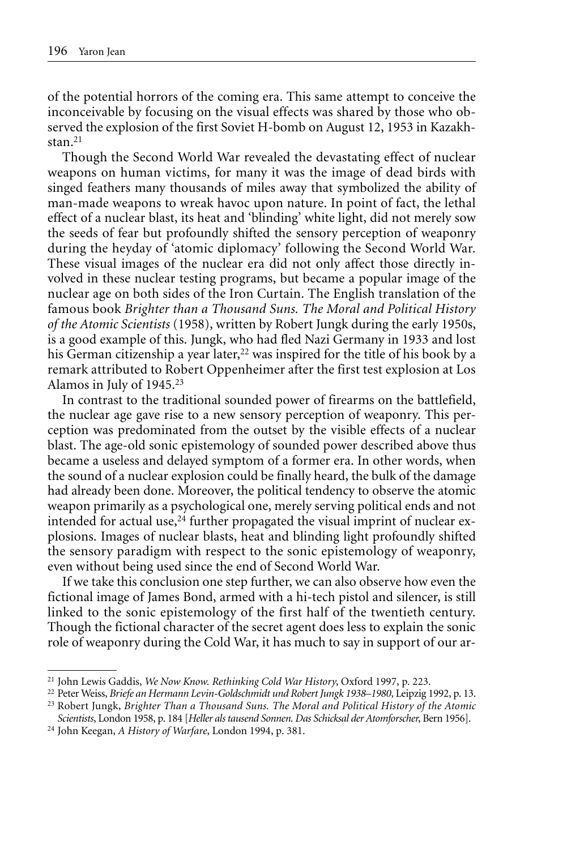of the potential horrors of the coming era. This same attempt to conceive the inconceivable by focusing on the visual effects was shared by those who observed the explosion of the first Soviet H-bomb on August 12, 1953 in Kazakhstan.<sup>21</sup>

Though the Second World War revealed the devastating effect of nuclear weapons on human victims, for many it was the image of dead birds with singed feathers many thousands of miles away that symbolized the ability of man-made weapons to wreak havoc upon nature. In point of fact, the lethal effect of a nuclear blast, its heat and 'blinding' white light, did not merely sow the seeds of fear but profoundly shifted the sensory perception of weaponry during the heyday of 'atomic diplomacy' following the Second World War. These visual images of the nuclear era did not only affect those directly involved in these nuclear testing programs, but became a popular image of the nuclear age on both sides of the Iron Curtain. The English translation of the famous book *Brighter than a Thousand Suns. The Moral and Political History of the Atomic Scientists* (1958), written by Robert Jungk during the early 1950s, is a good example of this. Jungk, who had fled Nazi Germany in 1933 and lost his German citizenship a year later,<sup>22</sup> was inspired for the title of his book by a remark attributed to Robert Oppenheimer after the first test explosion at Los Alamos in July of 1945.23

In contrast to the traditional sounded power of firearms on the battlefield, the nuclear age gave rise to a new sensory perception of weaponry. This perception was predominated from the outset by the visible effects of a nuclear blast. The age-old sonic epistemology of sounded power described above thus became a useless and delayed symptom of a former era. In other words, when the sound of a nuclear explosion could be finally heard, the bulk of the damage had already been done. Moreover, the political tendency to observe the atomic weapon primarily as a psychological one, merely serving political ends and not intended for actual use, $24$  further propagated the visual imprint of nuclear explosions. Images of nuclear blasts, heat and blinding light profoundly shifted the sensory paradigm with respect to the sonic epistemology of weaponry, even without being used since the end of Second World War.

If we take this conclusion one step further, we can also observe how even the fictional image of James Bond, armed with a hi-tech pistol and silencer, is still linked to the sonic epistemology of the first half of the twentieth century. Though the fictional character of the secret agent does less to explain the sonic role of weaponry during the Cold War, it has much to say in support of our ar-

<sup>21</sup> John Lewis Gaddis, *We Now Know. Rethinking Cold War History*, Oxford 1997, p. 223.

<sup>22</sup> Peter Weiss, *Briefe an Hermann Levin-Goldschmidt und Robert Jungk 1938–1980*, Leipzig 1992, p. 13.

<sup>23</sup> Robert Jungk, *Brighter Than a Thousand Suns. The Moral and Political History of the Atomic Scientists*, London 1958, p. 184 [*Heller als tausend Sonnen. Das Schicksal der Atomforscher*, Bern 1956].

<sup>24</sup> John Keegan, *A History of Warfare*, London 1994, p. 381.